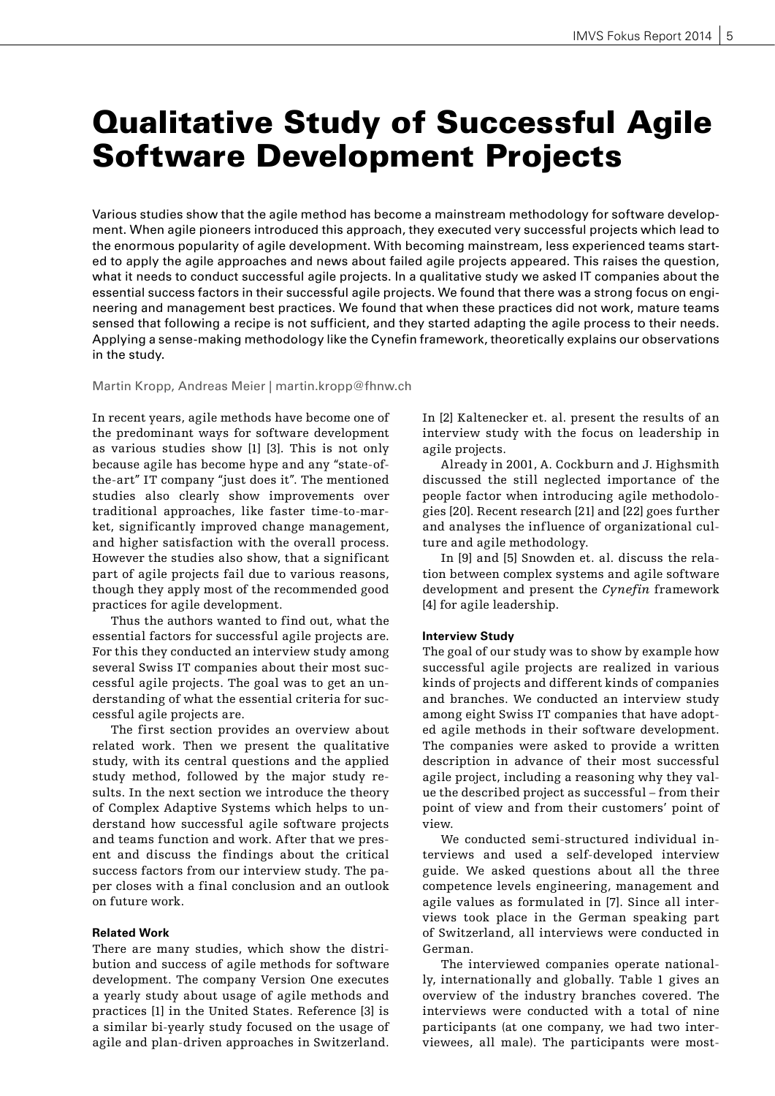# Qualitative Study of Successful Agile Software Development Projects

Various studies show that the agile method has become a mainstream methodology for software development. When agile pioneers introduced this approach, they executed very successful projects which lead to the enormous popularity of agile development. With becoming mainstream, less experienced teams started to apply the agile approaches and news about failed agile projects appeared. This raises the question, what it needs to conduct successful agile projects. In a qualitative study we asked IT companies about the essential success factors in their successful agile projects. We found that there was a strong focus on engineering and management best practices. We found that when these practices did not work, mature teams sensed that following a recipe is not sufficient, and they started adapting the agile process to their needs. Applying a sense-making methodology like the Cynefin framework, theoretically explains our observations in the study.

Martin Kropp, Andreas Meier | martin.kropp@fhnw.ch

In recent years, agile methods have become one of the predominant ways for software development as various studies show [1] [3]. This is not only because agile has become hype and any "state-ofthe-art" IT company "just does it". The mentioned studies also clearly show improvements over traditional approaches, like faster time-to-market, significantly improved change management, and higher satisfaction with the overall process. However the studies also show, that a significant part of agile projects fail due to various reasons, though they apply most of the recommended good practices for agile development.

Thus the authors wanted to find out, what the essential factors for successful agile projects are. For this they conducted an interview study among several Swiss IT companies about their most successful agile projects. The goal was to get an understanding of what the essential criteria for successful agile projects are.

The first section provides an overview about related work. Then we present the qualitative study, with its central questions and the applied study method, followed by the major study results. In the next section we introduce the theory of Complex Adaptive Systems which helps to understand how successful agile software projects and teams function and work. After that we present and discuss the findings about the critical success factors from our interview study. The paper closes with a final conclusion and an outlook on future work.

## **Related Work**

There are many studies, which show the distribution and success of agile methods for software development. The company Version One executes a yearly study about usage of agile methods and practices [1] in the United States. Reference [3] is a similar bi-yearly study focused on the usage of agile and plan-driven approaches in Switzerland.

In [2] Kaltenecker et. al. present the results of an interview study with the focus on leadership in agile projects.

Already in 2001, A. Cockburn and J. Highsmith discussed the still neglected importance of the people factor when introducing agile methodologies [20]. Recent research [21] and [22] goes further and analyses the influence of organizational culture and agile methodology.

In [9] and [5] Snowden et. al. discuss the relation between complex systems and agile software development and present the *Cynefin* framework [4] for agile leadership.

#### **Interview Study**

The goal of our study was to show by example how successful agile projects are realized in various kinds of projects and different kinds of companies and branches. We conducted an interview study among eight Swiss IT companies that have adopted agile methods in their software development. The companies were asked to provide a written description in advance of their most successful agile project, including a reasoning why they value the described project as successful – from their point of view and from their customers' point of view.

We conducted semi-structured individual interviews and used a self-developed interview guide. We asked questions about all the three competence levels engineering, management and agile values as formulated in [7]. Since all interviews took place in the German speaking part of Switzerland, all interviews were conducted in German.

The interviewed companies operate nationally, internationally and globally. Table 1 gives an overview of the industry branches covered. The interviews were conducted with a total of nine participants (at one company, we had two interviewees, all male). The participants were most-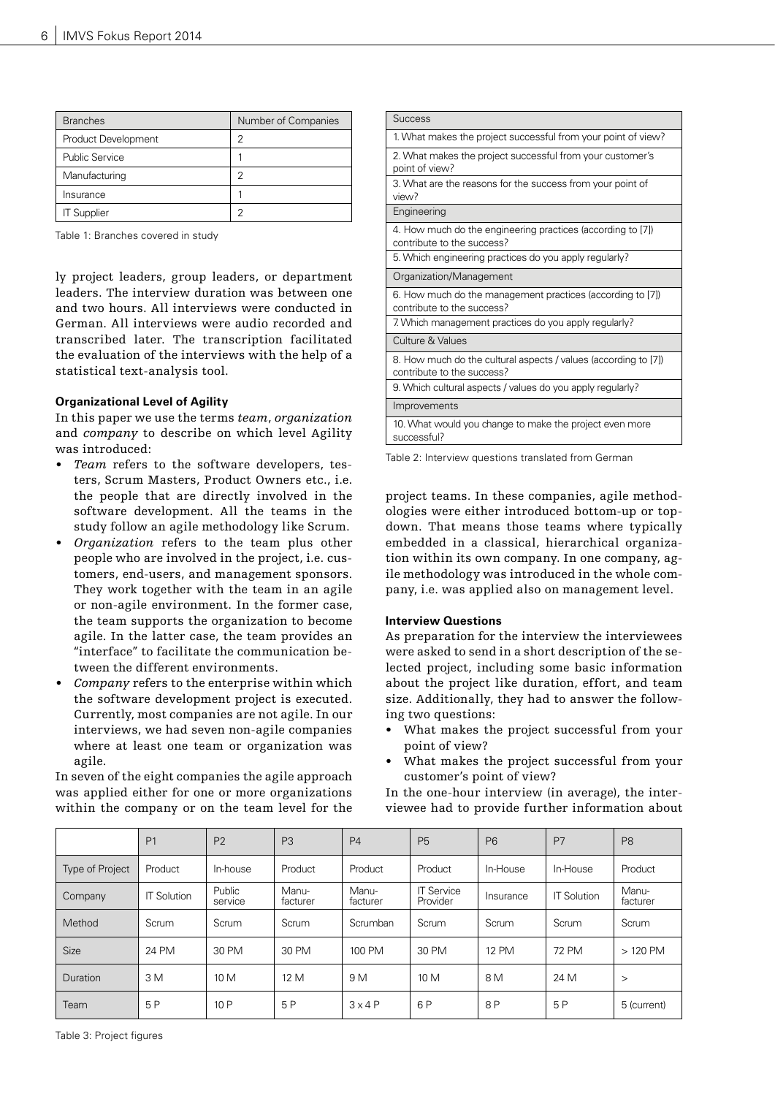| <b>Branches</b>       | Number of Companies |  |  |  |
|-----------------------|---------------------|--|--|--|
| Product Development   | っ                   |  |  |  |
| <b>Public Service</b> |                     |  |  |  |
| Manufacturing         | っ                   |  |  |  |
| Insurance             |                     |  |  |  |
| <b>IT Supplier</b>    |                     |  |  |  |

Table 1: Branches covered in study

ly project leaders, group leaders, or department leaders. The interview duration was between one and two hours. All interviews were conducted in German. All interviews were audio recorded and transcribed later. The transcription facilitated the evaluation of the interviews with the help of a statistical text-analysis tool.

## **Organizational Level of Agility**

In this paper we use the terms *team*, *organization* and *company* to describe on which level Agility was introduced:

- *• Team* refers to the software developers, testers, Scrum Masters, Product Owners etc., i.e. the people that are directly involved in the software development. All the teams in the study follow an agile methodology like Scrum.
- *• Organization* refers to the team plus other people who are involved in the project, i.e. customers, end-users, and management sponsors. They work together with the team in an agile or non-agile environment. In the former case, the team supports the organization to become agile. In the latter case, the team provides an "interface" to facilitate the communication between the different environments.
- *• Company* refers to the enterprise within which the software development project is executed. Currently, most companies are not agile. In our interviews, we had seven non-agile companies where at least one team or organization was agile.

In seven of the eight companies the agile approach was applied either for one or more organizations within the company or on the team level for the

| <b>Success</b>                                                                                |
|-----------------------------------------------------------------------------------------------|
| 1. What makes the project successful from your point of view?                                 |
| 2. What makes the project successful from your customer's<br>point of view?                   |
| 3. What are the reasons for the success from your point of<br>view?                           |
| Engineering                                                                                   |
| 4. How much do the engineering practices (according to [7])<br>contribute to the success?     |
| 5. Which engineering practices do you apply regularly?                                        |
| Organization/Management                                                                       |
| 6. How much do the management practices (according to [7])<br>contribute to the success?      |
| 7. Which management practices do you apply regularly?                                         |
| Culture & Values                                                                              |
| 8. How much do the cultural aspects / values (according to [7])<br>contribute to the success? |
| 9. Which cultural aspects / values do you apply regularly?                                    |
| Improvements                                                                                  |
| 10. What would you change to make the project even more<br>successful?                        |

Table 2: Interview questions translated from German

project teams. In these companies, agile methodologies were either introduced bottom-up or topdown. That means those teams where typically embedded in a classical, hierarchical organization within its own company. In one company, agile methodology was introduced in the whole company, i.e. was applied also on management level.

## **Interview Questions**

As preparation for the interview the interviewees were asked to send in a short description of the selected project, including some basic information about the project like duration, effort, and team size. Additionally, they had to answer the following two questions:

- What makes the project successful from your point of view?
- What makes the project successful from your customer's point of view?

In the one-hour interview (in average), the interviewee had to provide further information about

|                        | P <sub>1</sub>     | P <sub>2</sub>    | P <sub>3</sub>    | P <sub>4</sub>    | P <sub>5</sub>                | P <sub>6</sub> | P7                 | P <sub>8</sub>    |
|------------------------|--------------------|-------------------|-------------------|-------------------|-------------------------------|----------------|--------------------|-------------------|
| <b>Type of Project</b> | Product            | In-house          | Product           | Product           | Product                       | In-House       | In-House           | Product           |
| Company                | <b>IT Solution</b> | Public<br>service | Manu-<br>facturer | Manu-<br>facturer | <b>IT Service</b><br>Provider | Insurance      | <b>IT Solution</b> | Manu-<br>facturer |
| Method                 | Scrum              | Scrum             | Scrum             | Scrumban          | Scrum                         | Scrum          | Scrum              | Scrum             |
| Size                   | 24 PM              | 30 PM             | 30 PM             | 100 PM            | 30 PM                         | 12 PM          | 72 PM              | $>120$ PM         |
| Duration               | 3 M                | 10 M              | 12 M              | 9 M               | 10 M                          | 8 M            | 24 M               | $\geq$            |
| Team                   | 5P                 | 10 P              | 5P                | $3 \times 4 P$    | 6 P                           | 8P             | 5 P                | 5 (current)       |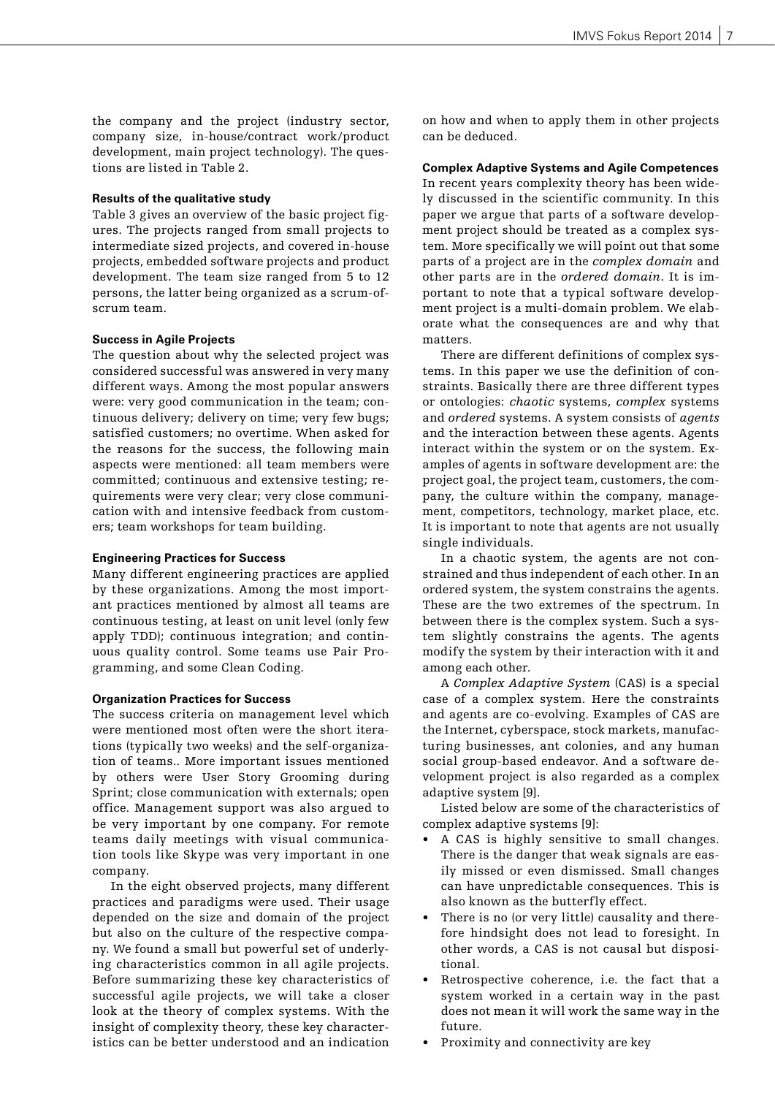the company and the project (industry sector, company size, in-house/contract work/product development, main project technology). The questions are listed in Table 2.

#### **Results of the qualitative study**

Table 3 gives an overview of the basic project figures. The projects ranged from small projects to intermediate sized projects, and covered in-house projects, embedded software projects and product development. The team size ranged from 5 to 12 persons, the latter being organized as a scrum-ofscrum team.

## **Success in Agile Projects**

The question about why the selected project was considered successful was answered in very many different ways. Among the most popular answers were: very good communication in the team; continuous delivery; delivery on time; very few bugs; satisfied customers; no overtime. When asked for the reasons for the success, the following main aspects were mentioned: all team members were committed; continuous and extensive testing; requirements were very clear; very close communication with and intensive feedback from customers; team workshops for team building.

#### **Engineering Practices for Success**

Many different engineering practices are applied by these organizations. Among the most important practices mentioned by almost all teams are continuous testing, at least on unit level (only few apply TDD); continuous integration; and continuous quality control. Some teams use Pair Programming, and some Clean Coding.

## **Organization Practices for Success**

The success criteria on management level which were mentioned most often were the short iterations (typically two weeks) and the self-organization of teams.. More important issues mentioned by others were User Story Grooming during Sprint; close communication with externals; open office. Management support was also argued to be very important by one company. For remote teams daily meetings with visual communication tools like Skype was very important in one company.

In the eight observed projects, many different practices and paradigms were used. Their usage depended on the size and domain of the project but also on the culture of the respective company. We found a small but powerful set of underlying characteristics common in all agile projects. Before summarizing these key characteristics of successful agile projects, we will take a closer look at the theory of complex systems. With the insight of complexity theory, these key characteristics can be better understood and an indication

on how and when to apply them in other projects can be deduced.

#### **Complex Adaptive Systems and Agile Competences**

In recent years complexity theory has been widely discussed in the scientific community. In this paper we argue that parts of a software development project should be treated as a complex system. More specifically we will point out that some parts of a project are in the *complex domain* and other parts are in the *ordered domain*. It is important to note that a typical software development project is a multi-domain problem. We elaborate what the consequences are and why that matters.

There are different definitions of complex systems. In this paper we use the definition of constraints. Basically there are three different types or ontologies: *chaotic* systems, *complex* systems and *ordered* systems. A system consists of *agents* and the interaction between these agents. Agents interact within the system or on the system. Examples of agents in software development are: the project goal, the project team, customers, the company, the culture within the company, management, competitors, technology, market place, etc. It is important to note that agents are not usually single individuals.

In a chaotic system, the agents are not constrained and thus independent of each other. In an ordered system, the system constrains the agents. These are the two extremes of the spectrum. In between there is the complex system. Such a system slightly constrains the agents. The agents modify the system by their interaction with it and among each other.

A *Complex Adaptive System* (CAS) is a special case of a complex system. Here the constraints and agents are co-evolving. Examples of CAS are the Internet, cyberspace, stock markets, manufacturing businesses, ant colonies, and any human social group-based endeavor. And a software development project is also regarded as a complex adaptive system [9].

Listed below are some of the characteristics of complex adaptive systems [9]:

- A CAS is highly sensitive to small changes. There is the danger that weak signals are easily missed or even dismissed. Small changes can have unpredictable consequences. This is also known as the butterfly effect.
- There is no (or very little) causality and therefore hindsight does not lead to foresight. In other words, a CAS is not causal but dispositional.
- Retrospective coherence, i.e. the fact that a system worked in a certain way in the past does not mean it will work the same way in the future.
- Proximity and connectivity are key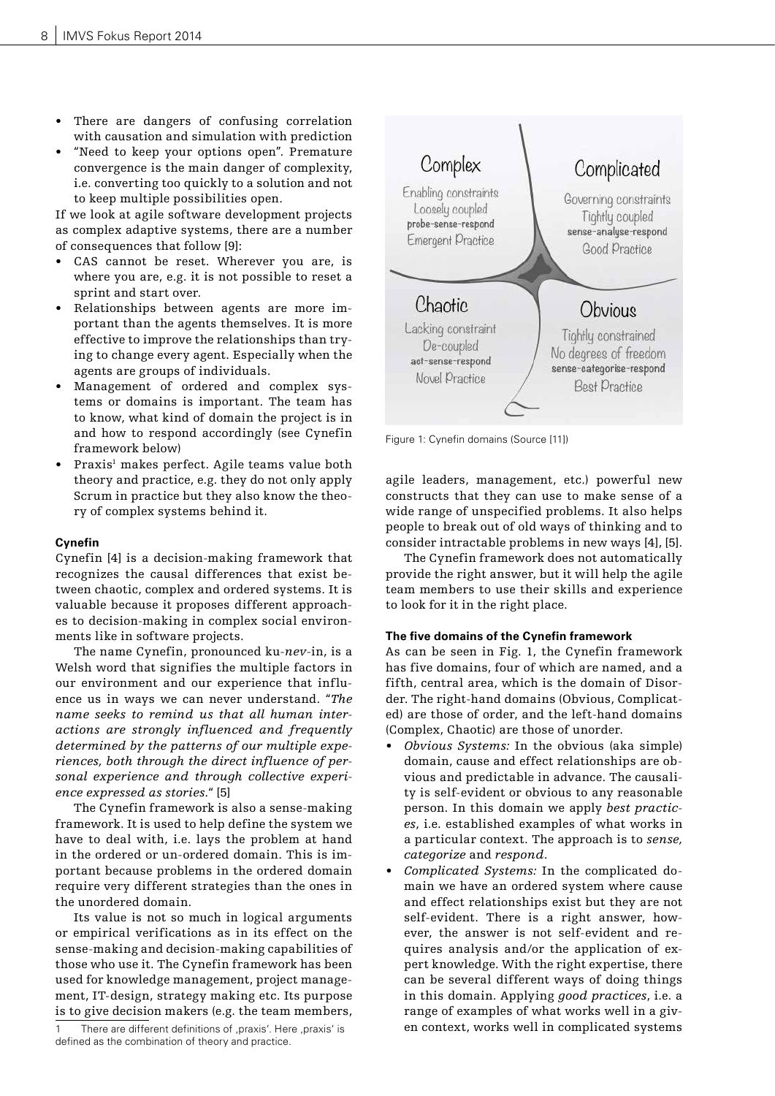- There are dangers of confusing correlation with causation and simulation with prediction
- "Need to keep your options open". Premature convergence is the main danger of complexity, i.e. converting too quickly to a solution and not to keep multiple possibilities open.

If we look at agile software development projects as complex adaptive systems, there are a number of consequences that follow [9]:

- CAS cannot be reset. Wherever you are, is where you are, e.g. it is not possible to reset a sprint and start over.
- Relationships between agents are more important than the agents themselves. It is more effective to improve the relationships than trying to change every agent. Especially when the agents are groups of individuals.
- Management of ordered and complex systems or domains is important. The team has to know, what kind of domain the project is in and how to respond accordingly (see Cynefin framework below)
- Praxis<sup>1</sup> makes perfect. Agile teams value both theory and practice, e.g. they do not only apply Scrum in practice but they also know the theory of complex systems behind it.

## **Cynefin**

Cynefin [4] is a decision-making framework that recognizes the causal differences that exist between chaotic, complex and ordered systems. It is valuable because it proposes different approaches to decision-making in complex social environments like in software projects.

The name Cynefin, pronounced ku-*nev*-in, is a Welsh word that signifies the multiple factors in our environment and our experience that influence us in ways we can never understand. "*The name seeks to remind us that all human interactions are strongly influenced and frequently determined by the patterns of our multiple experiences, both through the direct influence of personal experience and through collective experience expressed as stories.*" [5]

The Cynefin framework is also a sense-making framework. It is used to help define the system we have to deal with, i.e. lays the problem at hand in the ordered or un-ordered domain. This is important because problems in the ordered domain require very different strategies than the ones in the unordered domain.

Its value is not so much in logical arguments or empirical verifications as in its effect on the sense-making and decision-making capabilities of those who use it. The Cynefin framework has been used for knowledge management, project management, IT-design, strategy making etc. Its purpose is to give decision makers (e.g. the team members,



Figure 1: Cynefin domains (Source [11])

agile leaders, management, etc.) powerful new constructs that they can use to make sense of a wide range of unspecified problems. It also helps people to break out of old ways of thinking and to consider intractable problems in new ways [4], [5].

The Cynefin framework does not automatically provide the right answer, but it will help the agile team members to use their skills and experience to look for it in the right place.

## **The five domains of the Cynefin framework**

As can be seen in Fig. 1, the Cynefin framework has five domains, four of which are named, and a fifth, central area, which is the domain of Disorder. The right-hand domains (Obvious, Complicated) are those of order, and the left-hand domains (Complex, Chaotic) are those of unorder.

- *• Obvious Systems:* In the obvious (aka simple) domain, cause and effect relationships are obvious and predictable in advance. The causality is self-evident or obvious to any reasonable person. In this domain we apply *best practices*, i.e. established examples of what works in a particular context. The approach is to *sense, categorize* and *respond*.
- *• Complicated Systems:* In the complicated domain we have an ordered system where cause and effect relationships exist but they are not self-evident. There is a right answer, however, the answer is not self-evident and requires analysis and/or the application of expert knowledge. With the right expertise, there can be several different ways of doing things in this domain. Applying *good practices*, i.e. a range of examples of what works well in a given context, works well in complicated systems

There are different definitions of ,praxis'. Here ,praxis' is defined as the combination of theory and practice.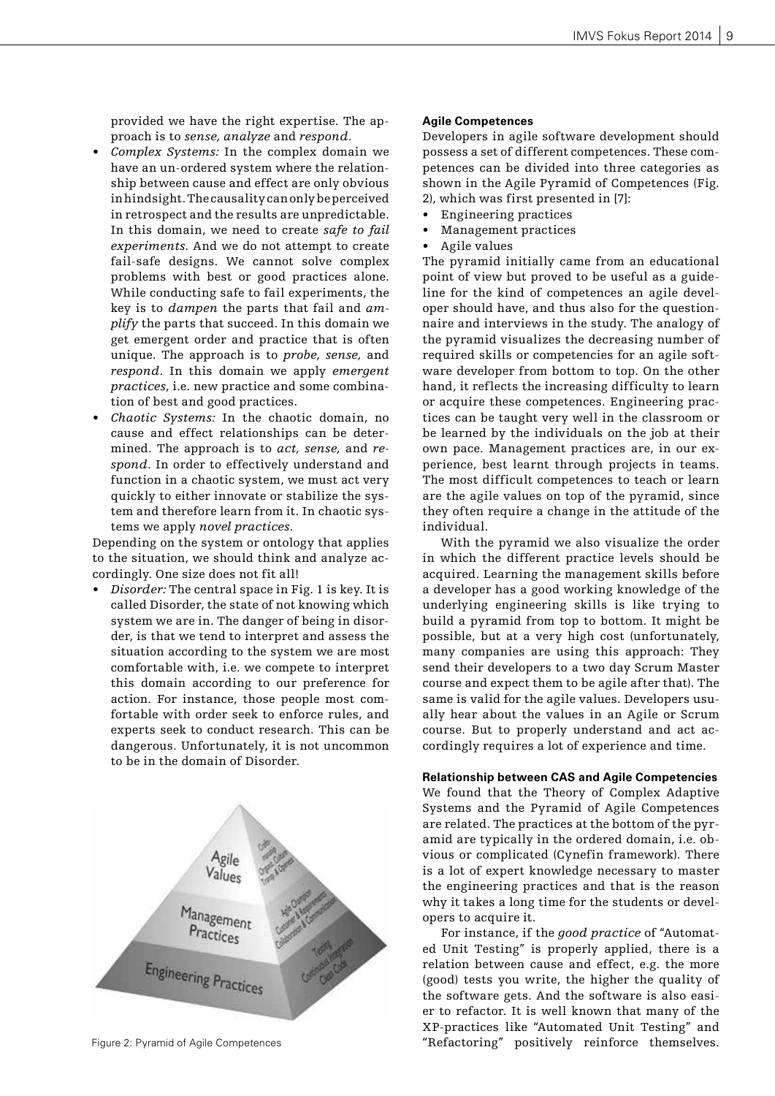provided we have the right expertise. The approach is to *sense, analyze* and *respond*.

- *• Complex Systems:* In the complex domain we have an un-ordered system where the relationship between cause and effect are only obvious in hindsight. The causality can only be perceived in retrospect and the results are unpredictable. In this domain, we need to create *safe to fail experiments.* And we do not attempt to create fail-safe designs. We cannot solve complex problems with best or good practices alone. While conducting safe to fail experiments, the key is to *dampen* the parts that fail and *amplify* the parts that succeed. In this domain we get emergent order and practice that is often unique. The approach is to *probe, sense,* and *respond*. In this domain we apply *emergent practices*, i.e. new practice and some combination of best and good practices.
- *• Chaotic Systems:* In the chaotic domain, no cause and effect relationships can be determined. The approach is to *act, sense,* and *respond*. In order to effectively understand and function in a chaotic system, we must act very quickly to either innovate or stabilize the system and therefore learn from it. In chaotic systems we apply *novel practices*.

Depending on the system or ontology that applies to the situation, we should think and analyze accordingly. One size does not fit all!

*• Disorder:* The central space in Fig. 1 is key. It is called Disorder, the state of not knowing which system we are in. The danger of being in disorder, is that we tend to interpret and assess the situation according to the system we are most comfortable with, i.e. we compete to interpret this domain according to our preference for action. For instance, those people most comfortable with order seek to enforce rules, and experts seek to conduct research. This can be dangerous. Unfortunately, it is not uncommon to be in the domain of Disorder.



## **Agile Competences**

Developers in agile software development should possess a set of different competences. These competences can be divided into three categories as shown in the Agile Pyramid of Competences (Fig. 2), which was first presented in [7]:

- Engineering practices
- Management practices
- Agile values

The pyramid initially came from an educational point of view but proved to be useful as a guideline for the kind of competences an agile developer should have, and thus also for the questionnaire and interviews in the study. The analogy of the pyramid visualizes the decreasing number of required skills or competencies for an agile software developer from bottom to top. On the other hand, it reflects the increasing difficulty to learn or acquire these competences. Engineering practices can be taught very well in the classroom or be learned by the individuals on the job at their own pace. Management practices are, in our experience, best learnt through projects in teams. The most difficult competences to teach or learn are the agile values on top of the pyramid, since they often require a change in the attitude of the individual.

With the pyramid we also visualize the order in which the different practice levels should be acquired. Learning the management skills before a developer has a good working knowledge of the underlying engineering skills is like trying to build a pyramid from top to bottom. It might be possible, but at a very high cost (unfortunately, many companies are using this approach: They send their developers to a two day Scrum Master course and expect them to be agile after that). The same is valid for the agile values. Developers usually hear about the values in an Agile or Scrum course. But to properly understand and act accordingly requires a lot of experience and time.

**Relationship between CAS and Agile Competencies** We found that the Theory of Complex Adaptive

Systems and the Pyramid of Agile Competences are related. The practices at the bottom of the pyramid are typically in the ordered domain, i.e. obvious or complicated (Cynefin framework). There is a lot of expert knowledge necessary to master the engineering practices and that is the reason why it takes a long time for the students or developers to acquire it.

For instance, if the *good practice* of "Automated Unit Testing" is properly applied, there is a relation between cause and effect, e.g. the more (good) tests you write, the higher the quality of the software gets. And the software is also easier to refactor. It is well known that many of the XP-practices like "Automated Unit Testing" and Figure 2: Pyramid of Agile Competences "Refactoring" positively reinforce themselves.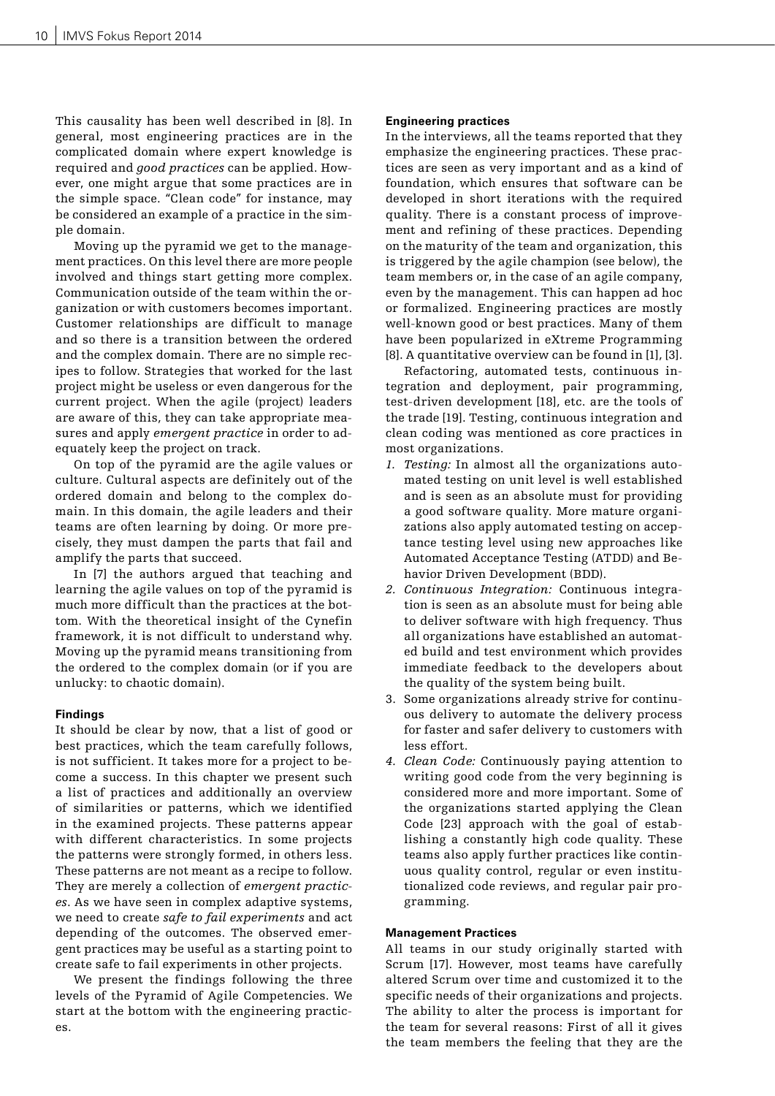This causality has been well described in [8]. In general, most engineering practices are in the complicated domain where expert knowledge is required and *good practices* can be applied. However, one might argue that some practices are in the simple space. "Clean code" for instance, may be considered an example of a practice in the simple domain.

Moving up the pyramid we get to the management practices. On this level there are more people involved and things start getting more complex. Communication outside of the team within the organization or with customers becomes important. Customer relationships are difficult to manage and so there is a transition between the ordered and the complex domain. There are no simple recipes to follow. Strategies that worked for the last project might be useless or even dangerous for the current project. When the agile (project) leaders are aware of this, they can take appropriate measures and apply *emergent practice* in order to adequately keep the project on track.

On top of the pyramid are the agile values or culture. Cultural aspects are definitely out of the ordered domain and belong to the complex domain. In this domain, the agile leaders and their teams are often learning by doing. Or more precisely, they must dampen the parts that fail and amplify the parts that succeed.

In [7] the authors argued that teaching and learning the agile values on top of the pyramid is much more difficult than the practices at the bottom. With the theoretical insight of the Cynefin framework, it is not difficult to understand why. Moving up the pyramid means transitioning from the ordered to the complex domain (or if you are unlucky: to chaotic domain).

## **Findings**

It should be clear by now, that a list of good or best practices, which the team carefully follows, is not sufficient. It takes more for a project to become a success. In this chapter we present such a list of practices and additionally an overview of similarities or patterns, which we identified in the examined projects. These patterns appear with different characteristics. In some projects the patterns were strongly formed, in others less. These patterns are not meant as a recipe to follow. They are merely a collection of *emergent practices*. As we have seen in complex adaptive systems, we need to create *safe to fail experiments* and act depending of the outcomes. The observed emergent practices may be useful as a starting point to create safe to fail experiments in other projects.

We present the findings following the three levels of the Pyramid of Agile Competencies. We start at the bottom with the engineering practices.

#### **Engineering practices**

In the interviews, all the teams reported that they emphasize the engineering practices. These practices are seen as very important and as a kind of foundation, which ensures that software can be developed in short iterations with the required quality. There is a constant process of improvement and refining of these practices. Depending on the maturity of the team and organization, this is triggered by the agile champion (see below), the team members or, in the case of an agile company, even by the management. This can happen ad hoc or formalized. Engineering practices are mostly well-known good or best practices. Many of them have been popularized in eXtreme Programming [8]. A quantitative overview can be found in [1], [3].

Refactoring, automated tests, continuous integration and deployment, pair programming, test-driven development [18], etc. are the tools of the trade [19]. Testing, continuous integration and clean coding was mentioned as core practices in most organizations.

- *1. Testing:* In almost all the organizations automated testing on unit level is well established and is seen as an absolute must for providing a good software quality. More mature organizations also apply automated testing on acceptance testing level using new approaches like Automated Acceptance Testing (ATDD) and Behavior Driven Development (BDD).
- *2. Continuous Integration:* Continuous integration is seen as an absolute must for being able to deliver software with high frequency. Thus all organizations have established an automated build and test environment which provides immediate feedback to the developers about the quality of the system being built.
- 3. Some organizations already strive for continuous delivery to automate the delivery process for faster and safer delivery to customers with less effort.
- *4. Clean Code:* Continuously paying attention to writing good code from the very beginning is considered more and more important. Some of the organizations started applying the Clean Code [23] approach with the goal of establishing a constantly high code quality. These teams also apply further practices like continuous quality control, regular or even institutionalized code reviews, and regular pair programming.

## **Management Practices**

All teams in our study originally started with Scrum [17]. However, most teams have carefully altered Scrum over time and customized it to the specific needs of their organizations and projects. The ability to alter the process is important for the team for several reasons: First of all it gives the team members the feeling that they are the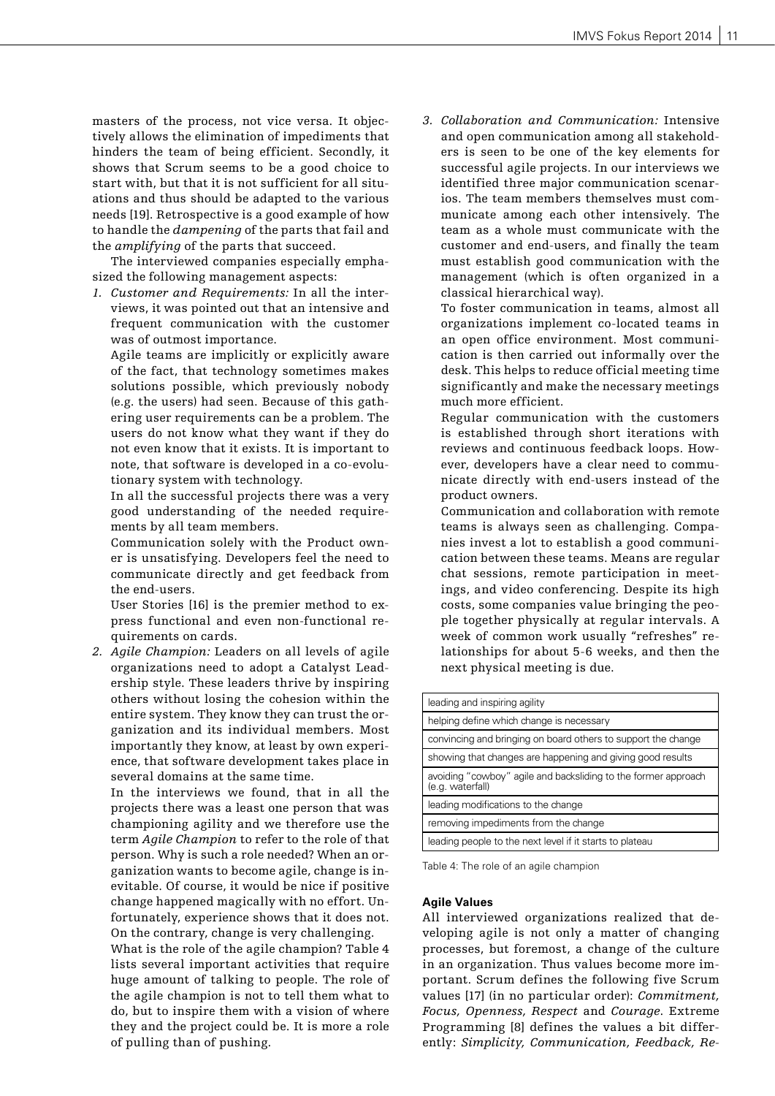masters of the process, not vice versa. It objectively allows the elimination of impediments that hinders the team of being efficient. Secondly, it shows that Scrum seems to be a good choice to start with, but that it is not sufficient for all situations and thus should be adapted to the various needs [19]. Retrospective is a good example of how to handle the *dampening* of the parts that fail and the *amplifying* of the parts that succeed.

The interviewed companies especially emphasized the following management aspects:

*1. Customer and Requirements:* In all the interviews, it was pointed out that an intensive and frequent communication with the customer was of outmost importance.

Agile teams are implicitly or explicitly aware of the fact, that technology sometimes makes solutions possible, which previously nobody (e.g. the users) had seen. Because of this gathering user requirements can be a problem. The users do not know what they want if they do not even know that it exists. It is important to note, that software is developed in a co-evolutionary system with technology.

In all the successful projects there was a very good understanding of the needed requirements by all team members.

Communication solely with the Product owner is unsatisfying. Developers feel the need to communicate directly and get feedback from the end-users.

User Stories [16] is the premier method to express functional and even non-functional requirements on cards.

*2. Agile Champion:* Leaders on all levels of agile organizations need to adopt a Catalyst Leadership style. These leaders thrive by inspiring others without losing the cohesion within the entire system. They know they can trust the organization and its individual members. Most importantly they know, at least by own experience, that software development takes place in several domains at the same time.

In the interviews we found, that in all the projects there was a least one person that was championing agility and we therefore use the term *Agile Champion* to refer to the role of that person. Why is such a role needed? When an organization wants to become agile, change is inevitable. Of course, it would be nice if positive change happened magically with no effort. Unfortunately, experience shows that it does not. On the contrary, change is very challenging.

What is the role of the agile champion? Table 4 lists several important activities that require huge amount of talking to people. The role of the agile champion is not to tell them what to do, but to inspire them with a vision of where they and the project could be. It is more a role of pulling than of pushing.

*3. Collaboration and Communication:* Intensive and open communication among all stakeholders is seen to be one of the key elements for successful agile projects. In our interviews we identified three major communication scenarios. The team members themselves must communicate among each other intensively. The team as a whole must communicate with the customer and end-users, and finally the team must establish good communication with the management (which is often organized in a classical hierarchical way).

To foster communication in teams, almost all organizations implement co-located teams in an open office environment. Most communication is then carried out informally over the desk. This helps to reduce official meeting time significantly and make the necessary meetings much more efficient.

Regular communication with the customers is established through short iterations with reviews and continuous feedback loops. However, developers have a clear need to communicate directly with end-users instead of the product owners.

Communication and collaboration with remote teams is always seen as challenging. Companies invest a lot to establish a good communication between these teams. Means are regular chat sessions, remote participation in meetings, and video conferencing. Despite its high costs, some companies value bringing the people together physically at regular intervals. A week of common work usually "refreshes" relationships for about 5-6 weeks, and then the next physical meeting is due.

| leading and inspiring agility                                                      |  |  |  |
|------------------------------------------------------------------------------------|--|--|--|
| helping define which change is necessary                                           |  |  |  |
| convincing and bringing on board others to support the change                      |  |  |  |
| showing that changes are happening and giving good results                         |  |  |  |
| avoiding "cowboy" agile and backsliding to the former approach<br>(e.g. waterfall) |  |  |  |
| leading modifications to the change                                                |  |  |  |
| removing impediments from the change                                               |  |  |  |
| leading people to the next level if it starts to plateau                           |  |  |  |

Table 4: The role of an agile champion

## **Agile Values**

All interviewed organizations realized that developing agile is not only a matter of changing processes, but foremost, a change of the culture in an organization. Thus values become more important. Scrum defines the following five Scrum values [17] (in no particular order): *Commitment, Focus, Openness, Respect* and *Courage*. Extreme Programming [8] defines the values a bit differently: *Simplicity, Communication, Feedback, Re-*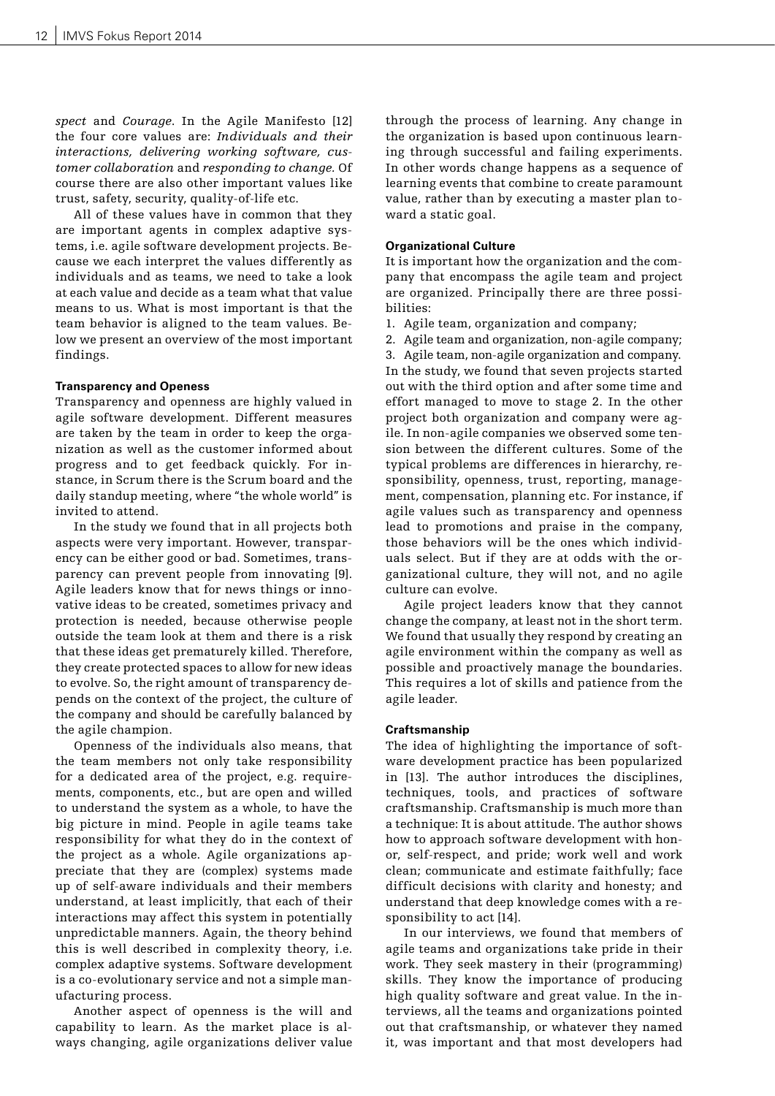*spect* and *Courage*. In the Agile Manifesto [12] the four core values are: *Individuals and their interactions, delivering working software, customer collaboration* and *responding to change.* Of course there are also other important values like trust, safety, security, quality-of-life etc.

All of these values have in common that they are important agents in complex adaptive systems, i.e. agile software development projects. Because we each interpret the values differently as individuals and as teams, we need to take a look at each value and decide as a team what that value means to us. What is most important is that the team behavior is aligned to the team values. Below we present an overview of the most important findings.

#### **Transparency and Openess**

Transparency and openness are highly valued in agile software development. Different measures are taken by the team in order to keep the organization as well as the customer informed about progress and to get feedback quickly. For instance, in Scrum there is the Scrum board and the daily standup meeting, where "the whole world" is invited to attend.

In the study we found that in all projects both aspects were very important. However, transparency can be either good or bad. Sometimes, transparency can prevent people from innovating [9]. Agile leaders know that for news things or innovative ideas to be created, sometimes privacy and protection is needed, because otherwise people outside the team look at them and there is a risk that these ideas get prematurely killed. Therefore, they create protected spaces to allow for new ideas to evolve. So, the right amount of transparency depends on the context of the project, the culture of the company and should be carefully balanced by the agile champion.

Openness of the individuals also means, that the team members not only take responsibility for a dedicated area of the project, e.g. requirements, components, etc., but are open and willed to understand the system as a whole, to have the big picture in mind. People in agile teams take responsibility for what they do in the context of the project as a whole. Agile organizations appreciate that they are (complex) systems made up of self-aware individuals and their members understand, at least implicitly, that each of their interactions may affect this system in potentially unpredictable manners. Again, the theory behind this is well described in complexity theory, i.e. complex adaptive systems. Software development is a co-evolutionary service and not a simple manufacturing process.

Another aspect of openness is the will and capability to learn. As the market place is always changing, agile organizations deliver value through the process of learning. Any change in the organization is based upon continuous learning through successful and failing experiments. In other words change happens as a sequence of learning events that combine to create paramount value, rather than by executing a master plan toward a static goal.

#### **Organizational Culture**

It is important how the organization and the company that encompass the agile team and project are organized. Principally there are three possibilities:

- 1. Agile team, organization and company;
- 2. Agile team and organization, non-agile company;

3. Agile team, non-agile organization and company. In the study, we found that seven projects started out with the third option and after some time and effort managed to move to stage 2. In the other project both organization and company were agile. In non-agile companies we observed some tension between the different cultures. Some of the typical problems are differences in hierarchy, responsibility, openness, trust, reporting, management, compensation, planning etc. For instance, if agile values such as transparency and openness lead to promotions and praise in the company, those behaviors will be the ones which individuals select. But if they are at odds with the organizational culture, they will not, and no agile culture can evolve.

Agile project leaders know that they cannot change the company, at least not in the short term. We found that usually they respond by creating an agile environment within the company as well as possible and proactively manage the boundaries. This requires a lot of skills and patience from the agile leader.

#### **Craftsmanship**

The idea of highlighting the importance of software development practice has been popularized in [13]. The author introduces the disciplines, techniques, tools, and practices of software craftsmanship. Craftsmanship is much more than a technique: It is about attitude. The author shows how to approach software development with honor, self-respect, and pride; work well and work clean; communicate and estimate faithfully; face difficult decisions with clarity and honesty; and understand that deep knowledge comes with a responsibility to act [14].

In our interviews, we found that members of agile teams and organizations take pride in their work. They seek mastery in their (programming) skills. They know the importance of producing high quality software and great value. In the interviews, all the teams and organizations pointed out that craftsmanship, or whatever they named it, was important and that most developers had